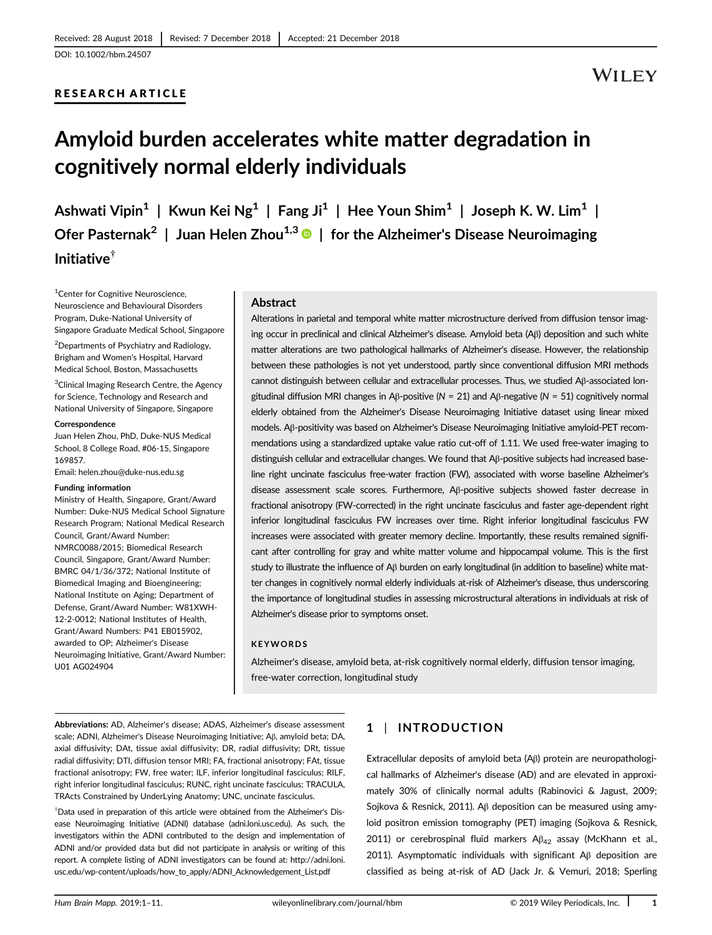DOI: 10.1002/hbm.24507

## RESEARCH ARTICLE

# **WILEY**

# Amyloid burden accelerates white matter degradation in cognitively normal elderly individuals

Ashwati Vipin<sup>1</sup> | Kwun Kei Ng<sup>1</sup> | Fang Ji<sup>1</sup> | Hee Youn Shim<sup>1</sup> | Joseph K. W. Lim<sup>1</sup> | Ofer Pasternak<sup>2</sup> | Juan Helen Zhou<sup>1,3</sup> | for the Alzheimer's Disease Neuroimaging Initiative†

<sup>1</sup> Center for Cognitive Neuroscience, Neuroscience and Behavioural Disorders Program, Duke-National University of Singapore Graduate Medical School, Singapore

<sup>2</sup> Departments of Psychiatry and Radiology, Brigham and Women's Hospital, Harvard Medical School, Boston, Massachusetts

<sup>3</sup>Clinical Imaging Research Centre, the Agency for Science, Technology and Research and National University of Singapore, Singapore

#### **Correspondence**

Juan Helen Zhou, PhD, Duke-NUS Medical School, 8 College Road, #06-15, Singapore 169857.

Email: [helen.zhou@duke-nus.edu.sg](mailto:helen.zhou@duke-nus.edu.sg)

#### Funding information

Ministry of Health, Singapore, Grant/Award Number: Duke-NUS Medical School Signature Research Program; National Medical Research Council, Grant/Award Number: NMRC0088/2015; Biomedical Research Council, Singapore, Grant/Award Number: BMRC 04/1/36/372; National Institute of Biomedical Imaging and Bioengineering; National Institute on Aging; Department of Defense, Grant/Award Number: W81XWH-12-2-0012; National Institutes of Health, Grant/Award Numbers: P41 EB015902, awarded to OP; Alzheimer's Disease Neuroimaging Initiative, Grant/Award Number: U01 AG024904

#### Abstract

Alterations in parietal and temporal white matter microstructure derived from diffusion tensor imaging occur in preclinical and clinical Alzheimer's disease. Amyloid beta (Aβ) deposition and such white matter alterations are two pathological hallmarks of Alzheimer's disease. However, the relationship between these pathologies is not yet understood, partly since conventional diffusion MRI methods cannot distinguish between cellular and extracellular processes. Thus, we studied Aβ-associated longitudinal diffusion MRI changes in Aβ-positive ( $N = 21$ ) and Aβ-negative ( $N = 51$ ) cognitively normal elderly obtained from the Alzheimer's Disease Neuroimaging Initiative dataset using linear mixed models. Aβ-positivity was based on Alzheimer's Disease Neuroimaging Initiative amyloid-PET recommendations using a standardized uptake value ratio cut-off of 1.11. We used free-water imaging to distinguish cellular and extracellular changes. We found that Aβ-positive subjects had increased baseline right uncinate fasciculus free-water fraction (FW), associated with worse baseline Alzheimer's disease assessment scale scores. Furthermore, Aβ-positive subjects showed faster decrease in fractional anisotropy (FW-corrected) in the right uncinate fasciculus and faster age-dependent right inferior longitudinal fasciculus FW increases over time. Right inferior longitudinal fasciculus FW increases were associated with greater memory decline. Importantly, these results remained significant after controlling for gray and white matter volume and hippocampal volume. This is the first study to illustrate the influence of Aβ burden on early longitudinal (in addition to baseline) white matter changes in cognitively normal elderly individuals at-risk of Alzheimer's disease, thus underscoring the importance of longitudinal studies in assessing microstructural alterations in individuals at risk of Alzheimer's disease prior to symptoms onset.

#### KEYWORDS

Alzheimer's disease, amyloid beta, at-risk cognitively normal elderly, diffusion tensor imaging, free-water correction, longitudinal study

Abbreviations: AD, Alzheimer's disease; ADAS, Alzheimer's disease assessment scale; ADNI, Alzheimer's Disease Neuroimaging Initiative; Aβ, amyloid beta; DA, axial diffusivity; DAt, tissue axial diffusivity; DR, radial diffusivity; DRt, tissue radial diffusivity; DTI, diffusion tensor MRI; FA, fractional anisotropy; FAt, tissue fractional anisotropy; FW, free water; ILF, inferior longitudinal fasciculus; RILF, right inferior longitudinal fasciculus; RUNC, right uncinate fasciculus; TRACULA, TRActs Constrained by UnderLying Anatomy; UNC, uncinate fasciculus.

† Data used in preparation of this article were obtained from the Alzheimer's Disease Neuroimaging Initiative (ADNI) database (adni.loni.usc.edu). As such, the investigators within the ADNI contributed to the design and implementation of ADNI and/or provided data but did not participate in analysis or writing of this report. A complete listing of ADNI investigators can be found at: [http://adni.loni.](http://adni.loni.usc.edu/wp-content/uploads/how_to_apply/ADNI_Acknowledgement_List.pdf) [usc.edu/wp-content/uploads/how\\_to\\_apply/ADNI\\_Acknowledgement\\_List.pdf](http://adni.loni.usc.edu/wp-content/uploads/how_to_apply/ADNI_Acknowledgement_List.pdf)

## 1 | INTRODUCTION

Extracellular deposits of amyloid beta (Aβ) protein are neuropathological hallmarks of Alzheimer's disease (AD) and are elevated in approximately 30% of clinically normal adults (Rabinovici & Jagust, 2009; Sojkova & Resnick, 2011). Aβ deposition can be measured using amyloid positron emission tomography (PET) imaging (Sojkova & Resnick, 2011) or cerebrospinal fluid markers  $A\beta_{42}$  assay (McKhann et al., 2011). Asymptomatic individuals with significant Aβ deposition are classified as being at-risk of AD (Jack Jr. & Vemuri, 2018; Sperling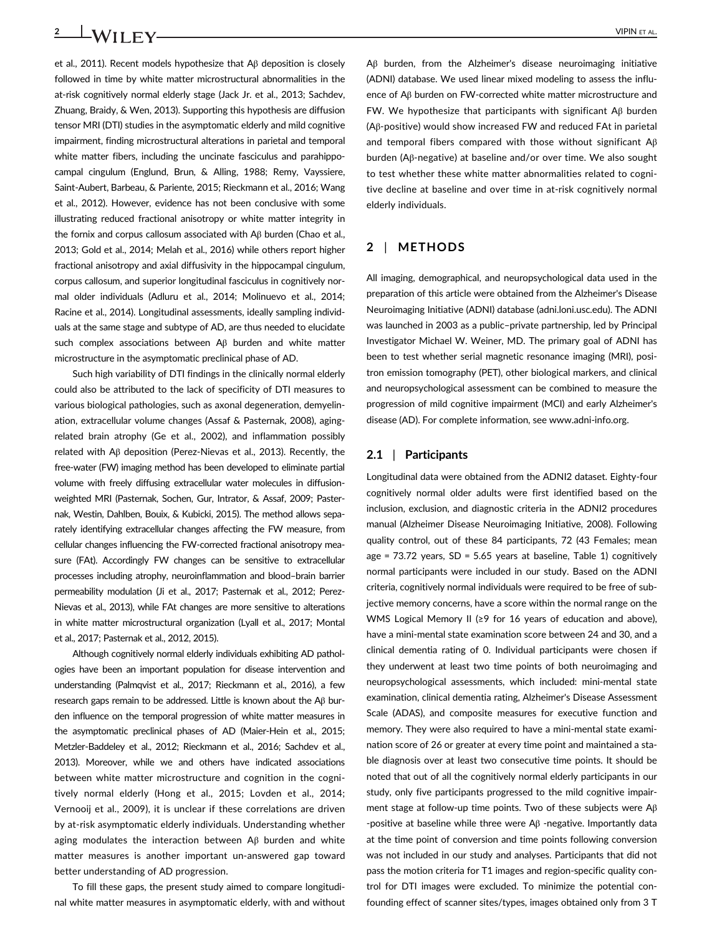et al., 2011). Recent models hypothesize that Aβ deposition is closely followed in time by white matter microstructural abnormalities in the at-risk cognitively normal elderly stage (Jack Jr. et al., 2013; Sachdev, Zhuang, Braidy, & Wen, 2013). Supporting this hypothesis are diffusion tensor MRI (DTI) studies in the asymptomatic elderly and mild cognitive impairment, finding microstructural alterations in parietal and temporal white matter fibers, including the uncinate fasciculus and parahippocampal cingulum (Englund, Brun, & Alling, 1988; Remy, Vayssiere, Saint-Aubert, Barbeau, & Pariente, 2015; Rieckmann et al., 2016; Wang et al., 2012). However, evidence has not been conclusive with some illustrating reduced fractional anisotropy or white matter integrity in the fornix and corpus callosum associated with Aβ burden (Chao et al., 2013; Gold et al., 2014; Melah et al., 2016) while others report higher fractional anisotropy and axial diffusivity in the hippocampal cingulum, corpus callosum, and superior longitudinal fasciculus in cognitively normal older individuals (Adluru et al., 2014; Molinuevo et al., 2014; Racine et al., 2014). Longitudinal assessments, ideally sampling individuals at the same stage and subtype of AD, are thus needed to elucidate such complex associations between Aβ burden and white matter microstructure in the asymptomatic preclinical phase of AD.

Such high variability of DTI findings in the clinically normal elderly could also be attributed to the lack of specificity of DTI measures to various biological pathologies, such as axonal degeneration, demyelination, extracellular volume changes (Assaf & Pasternak, 2008), agingrelated brain atrophy (Ge et al., 2002), and inflammation possibly related with Aβ deposition (Perez-Nievas et al., 2013). Recently, the free-water (FW) imaging method has been developed to eliminate partial volume with freely diffusing extracellular water molecules in diffusionweighted MRI (Pasternak, Sochen, Gur, Intrator, & Assaf, 2009; Pasternak, Westin, Dahlben, Bouix, & Kubicki, 2015). The method allows separately identifying extracellular changes affecting the FW measure, from cellular changes influencing the FW-corrected fractional anisotropy measure (FAt). Accordingly FW changes can be sensitive to extracellular processes including atrophy, neuroinflammation and blood–brain barrier permeability modulation (Ji et al., 2017; Pasternak et al., 2012; Perez-Nievas et al., 2013), while FAt changes are more sensitive to alterations in white matter microstructural organization (Lyall et al., 2017; Montal et al., 2017; Pasternak et al., 2012, 2015).

Although cognitively normal elderly individuals exhibiting AD pathologies have been an important population for disease intervention and understanding (Palmqvist et al., 2017; Rieckmann et al., 2016), a few research gaps remain to be addressed. Little is known about the Aβ burden influence on the temporal progression of white matter measures in the asymptomatic preclinical phases of AD (Maier-Hein et al., 2015; Metzler-Baddeley et al., 2012; Rieckmann et al., 2016; Sachdev et al., 2013). Moreover, while we and others have indicated associations between white matter microstructure and cognition in the cognitively normal elderly (Hong et al., 2015; Lovden et al., 2014; Vernooij et al., 2009), it is unclear if these correlations are driven by at-risk asymptomatic elderly individuals. Understanding whether aging modulates the interaction between Aβ burden and white matter measures is another important un-answered gap toward better understanding of AD progression.

To fill these gaps, the present study aimed to compare longitudinal white matter measures in asymptomatic elderly, with and without

Aβ burden, from the Alzheimer's disease neuroimaging initiative (ADNI) database. We used linear mixed modeling to assess the influence of Aβ burden on FW-corrected white matter microstructure and FW. We hypothesize that participants with significant Aβ burden (Aβ-positive) would show increased FW and reduced FAt in parietal and temporal fibers compared with those without significant  $A\beta$ burden (Aβ-negative) at baseline and/or over time. We also sought to test whether these white matter abnormalities related to cognitive decline at baseline and over time in at-risk cognitively normal elderly individuals.

## 2 | METHODS

All imaging, demographical, and neuropsychological data used in the preparation of this article were obtained from the Alzheimer's Disease Neuroimaging Initiative (ADNI) database [\(adni.loni.usc.edu](http://adni.loni.usc.edu)). The ADNI was launched in 2003 as a public–private partnership, led by Principal Investigator Michael W. Weiner, MD. The primary goal of ADNI has been to test whether serial magnetic resonance imaging (MRI), positron emission tomography (PET), other biological markers, and clinical and neuropsychological assessment can be combined to measure the progression of mild cognitive impairment (MCI) and early Alzheimer's disease (AD). For complete information, see [www.adni-info.org](http://www.adni-info.org).

### 2.1 | Participants

Longitudinal data were obtained from the ADNI2 dataset. Eighty-four cognitively normal older adults were first identified based on the inclusion, exclusion, and diagnostic criteria in the ADNI2 procedures manual (Alzheimer Disease Neuroimaging Initiative, 2008). Following quality control, out of these 84 participants, 72 (43 Females; mean age = 73.72 years, SD = 5.65 years at baseline, Table 1) cognitively normal participants were included in our study. Based on the ADNI criteria, cognitively normal individuals were required to be free of subjective memory concerns, have a score within the normal range on the WMS Logical Memory II (≥9 for 16 years of education and above), have a mini-mental state examination score between 24 and 30, and a clinical dementia rating of 0. Individual participants were chosen if they underwent at least two time points of both neuroimaging and neuropsychological assessments, which included: mini-mental state examination, clinical dementia rating, Alzheimer's Disease Assessment Scale (ADAS), and composite measures for executive function and memory. They were also required to have a mini-mental state examination score of 26 or greater at every time point and maintained a stable diagnosis over at least two consecutive time points. It should be noted that out of all the cognitively normal elderly participants in our study, only five participants progressed to the mild cognitive impairment stage at follow-up time points. Two of these subjects were Aβ -positive at baseline while three were Aβ -negative. Importantly data at the time point of conversion and time points following conversion was not included in our study and analyses. Participants that did not pass the motion criteria for T1 images and region-specific quality control for DTI images were excluded. To minimize the potential confounding effect of scanner sites/types, images obtained only from 3 T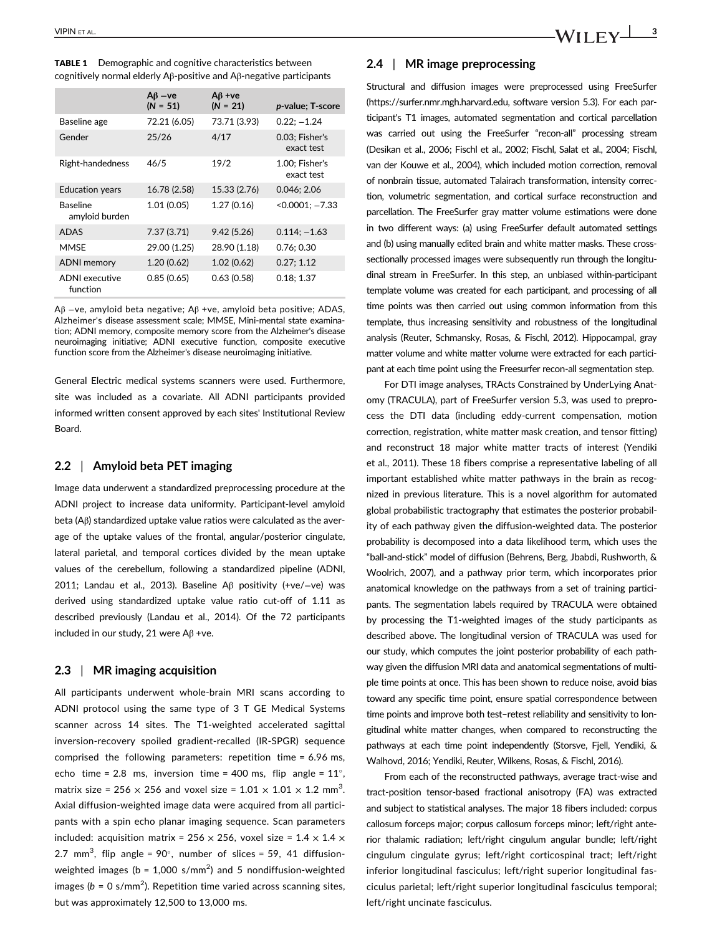| <b>TABLE 1</b> | Demographic and cognitive characteristics between                                 |
|----------------|-----------------------------------------------------------------------------------|
|                | cognitively normal elderly $A\beta$ -positive and $A\beta$ -negative participants |

|                                   | $AB - ve$<br>$(N = 51)$ | $A\beta +ve$<br>$(N = 21)$ | p-value; T-score             |
|-----------------------------------|-------------------------|----------------------------|------------------------------|
| Baseline age                      | 72.21 (6.05)            | 73.71 (3.93)               | $0.22: -1.24$                |
| Gender                            | 25/26                   | 4/17                       | 0.03; Fisher's<br>exact test |
| Right-handedness                  | 46/5                    | 19/2                       | 1.00; Fisher's<br>exact test |
| <b>Education years</b>            | 16.78 (2.58)            | 15.33 (2.76)               | 0.046: 2.06                  |
| <b>Baseline</b><br>amyloid burden | 1.01(0.05)              | 1.27(0.16)                 | $< 0.0001$ ; $-7.33$         |
| <b>ADAS</b>                       | 7.37(3.71)              | 9.42(5.26)                 | $0.114; -1.63$               |
| <b>MMSF</b>                       | 29.00 (1.25)            | 28.90 (1.18)               | 0.76; 0.30                   |
| <b>ADNI</b> memory                | 1.20(0.62)              | 1.02(0.62)                 | 0.27; 1.12                   |
| ADNI executive<br>function        | 0.85(0.65)              | 0.63(0.58)                 | 0.18; 1.37                   |

Aβ −ve, amyloid beta negative; Aβ +ve, amyloid beta positive; ADAS, Alzheimer's disease assessment scale; MMSE, Mini-mental state examination; ADNI memory, composite memory score from the Alzheimer's disease neuroimaging initiative; ADNI executive function, composite executive function score from the Alzheimer's disease neuroimaging initiative.

General Electric medical systems scanners were used. Furthermore, site was included as a covariate. All ADNI participants provided informed written consent approved by each sites' Institutional Review Board.

## 2.2 | Amyloid beta PET imaging

Image data underwent a standardized preprocessing procedure at the ADNI project to increase data uniformity. Participant-level amyloid beta (Aβ) standardized uptake value ratios were calculated as the average of the uptake values of the frontal, angular/posterior cingulate, lateral parietal, and temporal cortices divided by the mean uptake values of the cerebellum, following a standardized pipeline (ADNI, 2011; Landau et al., 2013). Baseline Aβ positivity (+ve/−ve) was derived using standardized uptake value ratio cut-off of 1.11 as described previously (Landau et al., 2014). Of the 72 participants included in our study, 21 were Aβ +ve.

## 2.3 | MR imaging acquisition

All participants underwent whole-brain MRI scans according to ADNI protocol using the same type of 3 T GE Medical Systems scanner across 14 sites. The T1-weighted accelerated sagittal inversion-recovery spoiled gradient-recalled (IR-SPGR) sequence comprised the following parameters: repetition time = 6.96 ms, echo time = 2.8 ms, inversion time = 400 ms, flip angle =  $11^{\circ}$ , matrix size = 256  $\times$  256 and voxel size = 1.01  $\times$  1.01  $\times$  1.2 mm<sup>3</sup>. Axial diffusion-weighted image data were acquired from all participants with a spin echo planar imaging sequence. Scan parameters included: acquisition matrix = 256  $\times$  256, voxel size = 1.4  $\times$  1.4  $\times$ 2.7 mm<sup>3</sup>, flip angle = 90°, number of slices = 59, 41 diffusionweighted images ( $b = 1,000$  s/mm<sup>2</sup>) and 5 nondiffusion-weighted images ( $b = 0$  s/mm<sup>2</sup>). Repetition time varied across scanning sites, but was approximately 12,500 to 13,000 ms.

## 2.4 | MR image preprocessing

Structural and diffusion images were preprocessed using FreeSurfer ([https://surfer.nmr.mgh.harvard.edu,](https://surfer.nmr.mgh.harvard.edu/) software version 5.3). For each participant's T1 images, automated segmentation and cortical parcellation was carried out using the FreeSurfer "recon-all" processing stream (Desikan et al., 2006; Fischl et al., 2002; Fischl, Salat et al., 2004; Fischl, van der Kouwe et al., 2004), which included motion correction, removal of nonbrain tissue, automated Talairach transformation, intensity correction, volumetric segmentation, and cortical surface reconstruction and parcellation. The FreeSurfer gray matter volume estimations were done in two different ways: (a) using FreeSurfer default automated settings and (b) using manually edited brain and white matter masks. These crosssectionally processed images were subsequently run through the longitudinal stream in FreeSurfer. In this step, an unbiased within-participant template volume was created for each participant, and processing of all time points was then carried out using common information from this template, thus increasing sensitivity and robustness of the longitudinal analysis (Reuter, Schmansky, Rosas, & Fischl, 2012). Hippocampal, gray matter volume and white matter volume were extracted for each participant at each time point using the Freesurfer recon-all segmentation step.

For DTI image analyses, TRActs Constrained by UnderLying Anatomy (TRACULA), part of FreeSurfer version 5.3, was used to preprocess the DTI data (including eddy-current compensation, motion correction, registration, white matter mask creation, and tensor fitting) and reconstruct 18 major white matter tracts of interest (Yendiki et al., 2011). These 18 fibers comprise a representative labeling of all important established white matter pathways in the brain as recognized in previous literature. This is a novel algorithm for automated global probabilistic tractography that estimates the posterior probability of each pathway given the diffusion-weighted data. The posterior probability is decomposed into a data likelihood term, which uses the "ball-and-stick" model of diffusion (Behrens, Berg, Jbabdi, Rushworth, & Woolrich, 2007), and a pathway prior term, which incorporates prior anatomical knowledge on the pathways from a set of training participants. The segmentation labels required by TRACULA were obtained by processing the T1-weighted images of the study participants as described above. The longitudinal version of TRACULA was used for our study, which computes the joint posterior probability of each pathway given the diffusion MRI data and anatomical segmentations of multiple time points at once. This has been shown to reduce noise, avoid bias toward any specific time point, ensure spatial correspondence between time points and improve both test–retest reliability and sensitivity to longitudinal white matter changes, when compared to reconstructing the pathways at each time point independently (Storsve, Fjell, Yendiki, & Walhovd, 2016; Yendiki, Reuter, Wilkens, Rosas, & Fischl, 2016).

From each of the reconstructed pathways, average tract-wise and tract-position tensor-based fractional anisotropy (FA) was extracted and subject to statistical analyses. The major 18 fibers included: corpus callosum forceps major; corpus callosum forceps minor; left/right anterior thalamic radiation; left/right cingulum angular bundle; left/right cingulum cingulate gyrus; left/right corticospinal tract; left/right inferior longitudinal fasciculus; left/right superior longitudinal fasciculus parietal; left/right superior longitudinal fasciculus temporal; left/right uncinate fasciculus.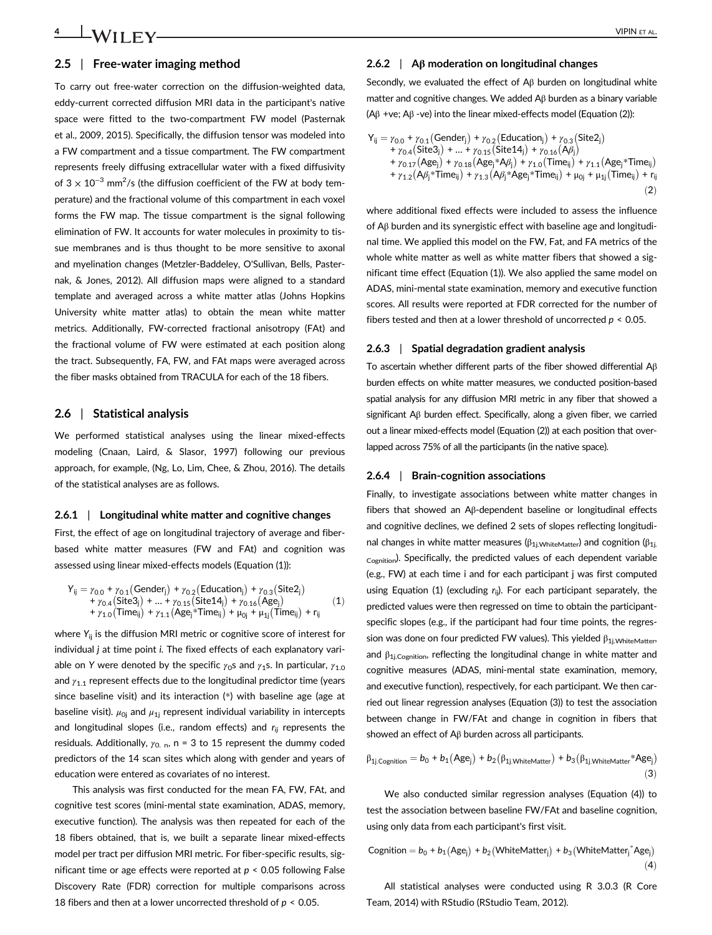## 2.5 | Free-water imaging method

To carry out free-water correction on the diffusion-weighted data, eddy-current corrected diffusion MRI data in the participant's native space were fitted to the two-compartment FW model (Pasternak et al., 2009, 2015). Specifically, the diffusion tensor was modeled into a FW compartment and a tissue compartment. The FW compartment represents freely diffusing extracellular water with a fixed diffusivity of  $3 \times 10^{-3}$  mm<sup>2</sup>/s (the diffusion coefficient of the FW at body temperature) and the fractional volume of this compartment in each voxel forms the FW map. The tissue compartment is the signal following elimination of FW. It accounts for water molecules in proximity to tissue membranes and is thus thought to be more sensitive to axonal and myelination changes (Metzler-Baddeley, O'Sullivan, Bells, Pasternak, & Jones, 2012). All diffusion maps were aligned to a standard template and averaged across a white matter atlas (Johns Hopkins University white matter atlas) to obtain the mean white matter metrics. Additionally, FW-corrected fractional anisotropy (FAt) and the fractional volume of FW were estimated at each position along the tract. Subsequently, FA, FW, and FAt maps were averaged across the fiber masks obtained from TRACULA for each of the 18 fibers.

## 2.6 | Statistical analysis

We performed statistical analyses using the linear mixed-effects modeling (Cnaan, Laird, & Slasor, 1997) following our previous approach, for example, (Ng, Lo, Lim, Chee, & Zhou, 2016). The details of the statistical analyses are as follows.

#### 2.6.1 | Longitudinal white matter and cognitive changes

First, the effect of age on longitudinal trajectory of average and fiberbased white matter measures (FW and FAt) and cognition was assessed using linear mixed-effects models (Equation (1)):

$$
Y_{ij} = \gamma_{0.0} + \gamma_{0.1}(\text{Gender}_j) + \gamma_{0.2}(\text{Education}_j) + \gamma_{0.3}(\text{Site2}_j) + \gamma_{0.4}(\text{Site3}_j) + ... + \gamma_{0.15}(\text{Site14}_j) + \gamma_{0.16}(\text{Age}_j) + \gamma_{1.0}(\text{Time}_{ij}) + \gamma_{1.1}(\text{Age}_j \cdot \text{Time}_{ij}) + \mu_{0j} + \mu_{1j}(\text{Time}_{ij}) + r_{ij}
$$
 (1)

where  $Y_{ii}$  is the diffusion MRI metric or cognitive score of interest for individual j at time point i. The fixed effects of each explanatory variable on Y were denoted by the specific  $\gamma_0$ s and  $\gamma_1$ s. In particular,  $\gamma_{1.0}$ and  $\gamma_{1,1}$  represent effects due to the longitudinal predictor time (years since baseline visit) and its interaction (\*) with baseline age (age at baseline visit).  $\mu_{0i}$  and  $\mu_{1i}$  represent individual variability in intercepts and longitudinal slopes (i.e., random effects) and  $r_{ii}$  represents the residuals. Additionally,  $\gamma_{0. n}$ , n = 3 to 15 represent the dummy coded predictors of the 14 scan sites which along with gender and years of education were entered as covariates of no interest.

This analysis was first conducted for the mean FA, FW, FAt, and cognitive test scores (mini-mental state examination, ADAS, memory, executive function). The analysis was then repeated for each of the 18 fibers obtained, that is, we built a separate linear mixed-effects model per tract per diffusion MRI metric. For fiber-specific results, significant time or age effects were reported at  $p < 0.05$  following False Discovery Rate (FDR) correction for multiple comparisons across 18 fibers and then at a lower uncorrected threshold of  $p < 0.05$ .

#### 2.6.2 | Aβ moderation on longitudinal changes

Secondly, we evaluated the effect of Aβ burden on longitudinal white matter and cognitive changes. We added Aβ burden as a binary variable (Aβ +ve; Aβ -ve) into the linear mixed-effects model (Equation (2)):

$$
\begin{aligned} Y_{ij} &= \gamma_{0.0} + \gamma_{0.1}(\text{Gender}_j) + \gamma_{0.2}(\text{Education}_j) + \gamma_{0.3}(\text{Site2}_j) \\ &+ \gamma_{0.4}(\text{Site3}_j) + ... + \gamma_{0.15}(\text{Site14}_j) + \gamma_{0.16}(A\beta_j) \\ &+ \gamma_{0.17}(Age_j) + \gamma_{0.18}(Age_j^*A\beta_j) + \gamma_{1.0}(\text{Time}_{ij}) + \gamma_{1.1}(Age_j^*\text{Time}_{ij}) \\ &+ \gamma_{1.2}(A\beta_j^*\text{Time}_{ij}) + \gamma_{1.3}(A\beta_j^*Age_j^*\text{Time}_{ij}) + \mu_{0j} + \mu_{1j}(\text{Time}_{ij}) + \mu_{ij} \end{aligned} \tag{2}
$$

where additional fixed effects were included to assess the influence of Aβ burden and its synergistic effect with baseline age and longitudinal time. We applied this model on the FW, Fat, and FA metrics of the whole white matter as well as white matter fibers that showed a significant time effect (Equation (1)). We also applied the same model on ADAS, mini-mental state examination, memory and executive function scores. All results were reported at FDR corrected for the number of fibers tested and then at a lower threshold of uncorrected  $p < 0.05$ .

#### 2.6.3 | Spatial degradation gradient analysis

To ascertain whether different parts of the fiber showed differential Aβ burden effects on white matter measures, we conducted position-based spatial analysis for any diffusion MRI metric in any fiber that showed a significant Aβ burden effect. Specifically, along a given fiber, we carried out a linear mixed-effects model (Equation (2)) at each position that overlapped across 75% of all the participants (in the native space).

#### 2.6.4 | Brain-cognition associations

Finally, to investigate associations between white matter changes in fibers that showed an Aβ-dependent baseline or longitudinal effects and cognitive declines, we defined 2 sets of slopes reflecting longitudinal changes in white matter measures ( $β_{1j}$ , whiteMatter) and cognition ( $β_{1j}$ . <sub>Cognition</sub>). Specifically, the predicted values of each dependent variable (e.g., FW) at each time i and for each participant j was first computed using Equation (1) (excluding  $r_{ij}$ ). For each participant separately, the predicted values were then regressed on time to obtain the participantspecific slopes (e.g., if the participant had four time points, the regression was done on four predicted FW values). This yielded  $\beta_{1i}$ . WhiteMatter, and  $\beta_{1i,Cognition}$ , reflecting the longitudinal change in white matter and cognitive measures (ADAS, mini-mental state examination, memory, and executive function), respectively, for each participant. We then carried out linear regression analyses (Equation (3)) to test the association between change in FW/FAt and change in cognition in fibers that showed an effect of Aβ burden across all participants.

$$
\beta_{1j,Cognition} = b_0 + b_1(Age_j) + b_2(\beta_{1j.WhiteMatter}) + b_3(\beta_{1j.WhiteMatter} * Age_j)
$$
\n(3)

We also conducted similar regression analyses (Equation (4)) to test the association between baseline FW/FAt and baseline cognition, using only data from each participant's first visit.

\n Cognition = 
$$
b_0 + b_1(Age_j) + b_2(WhiteMatter_j) + b_3(WhiteMatter_j^*Age_j)
$$
\n  
\n (4)\n

All statistical analyses were conducted using R 3.0.3 (R Core Team, 2014) with RStudio (RStudio Team, 2012).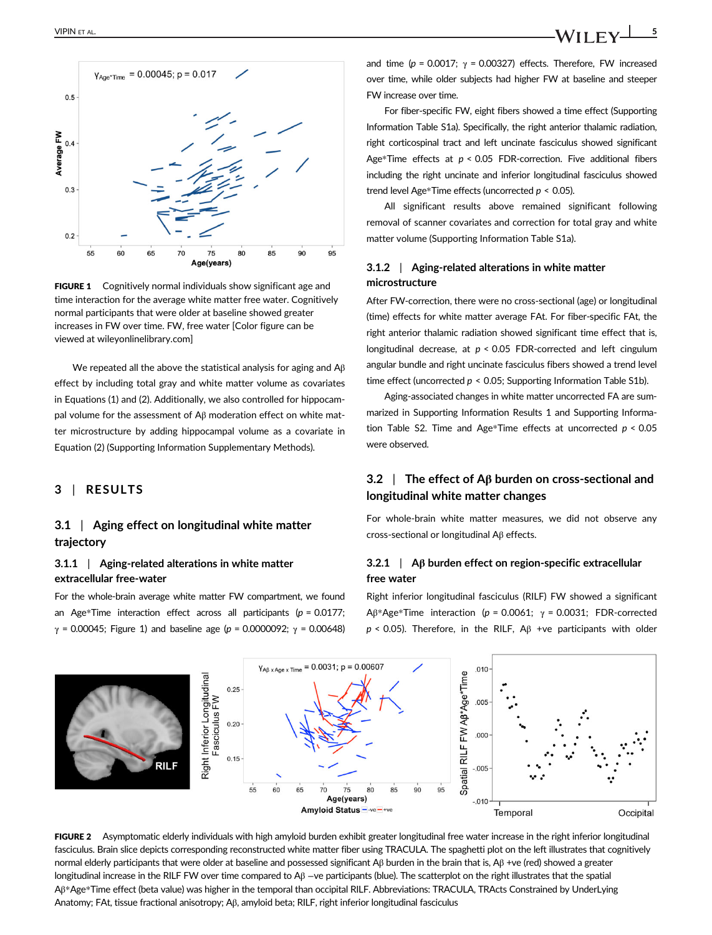

FIGURE 1 Cognitively normal individuals show significant age and time interaction for the average white matter free water. Cognitively normal participants that were older at baseline showed greater increases in FW over time. FW, free water [Color figure can be viewed at [wileyonlinelibrary.com](http://wileyonlinelibrary.com)]

We repeated all the above the statistical analysis for aging and Aβ effect by including total gray and white matter volume as covariates in Equations (1) and (2). Additionally, we also controlled for hippocampal volume for the assessment of Aβ moderation effect on white matter microstructure by adding hippocampal volume as a covariate in Equation (2) (Supporting Information Supplementary Methods).

## 3 | RESULTS

## 3.1 | Aging effect on longitudinal white matter trajectory

## 3.1.1 | Aging-related alterations in white matter extracellular free-water

For the whole-brain average white matter FW compartment, we found an Age\*Time interaction effect across all participants ( $p = 0.0177$ ;  $γ = 0.00045$ ; Figure 1) and baseline age ( $p = 0.0000092$ ;  $γ = 0.00648$ ) and time ( $p = 0.0017$ ;  $\gamma = 0.00327$ ) effects. Therefore, FW increased over time, while older subjects had higher FW at baseline and steeper FW increase over time.

For fiber-specific FW, eight fibers showed a time effect (Supporting Information Table S1a). Specifically, the right anterior thalamic radiation, right corticospinal tract and left uncinate fasciculus showed significant Age\*Time effects at  $p < 0.05$  FDR-correction. Five additional fibers including the right uncinate and inferior longitudinal fasciculus showed trend level Age\*Time effects (uncorrected  $p < 0.05$ ).

All significant results above remained significant following removal of scanner covariates and correction for total gray and white matter volume (Supporting Information Table S1a).

## 3.1.2 | Aging-related alterations in white matter microstructure

After FW-correction, there were no cross-sectional (age) or longitudinal (time) effects for white matter average FAt. For fiber-specific FAt, the right anterior thalamic radiation showed significant time effect that is, longitudinal decrease, at  $p < 0.05$  FDR-corrected and left cingulum angular bundle and right uncinate fasciculus fibers showed a trend level time effect (uncorrected  $p < 0.05$ ; Supporting Information Table S1b).

Aging-associated changes in white matter uncorrected FA are summarized in Supporting Information Results 1 and Supporting Information Table S2. Time and Age\*Time effects at uncorrected  $p < 0.05$ were observed.

## 3.2 | The effect of Aβ burden on cross-sectional and longitudinal white matter changes

For whole-brain white matter measures, we did not observe any cross-sectional or longitudinal Aβ effects.

## 3.2.1 | Aβ burden effect on region-specific extracellular free water

Right inferior longitudinal fasciculus (RILF) FW showed a significant Aβ\*Age\*Time interaction ( $p = 0.0061$ ;  $γ = 0.0031$ ; FDR-corrected  $p < 0.05$ ). Therefore, in the RILF, A $\beta$  +ve participants with older



FIGURE 2 Asymptomatic elderly individuals with high amyloid burden exhibit greater longitudinal free water increase in the right inferior longitudinal fasciculus. Brain slice depicts corresponding reconstructed white matter fiber using TRACULA. The spaghetti plot on the left illustrates that cognitively normal elderly participants that were older at baseline and possessed significant Aβ burden in the brain that is, Aβ +ve (red) showed a greater longitudinal increase in the RILF FW over time compared to Aβ –ve participants (blue). The scatterplot on the right illustrates that the spatial Aβ\*Age\*Time effect (beta value) was higher in the temporal than occipital RILF. Abbreviations: TRACULA, TRActs Constrained by UnderLying Anatomy; FAt, tissue fractional anisotropy; Aβ, amyloid beta; RILF, right inferior longitudinal fasciculus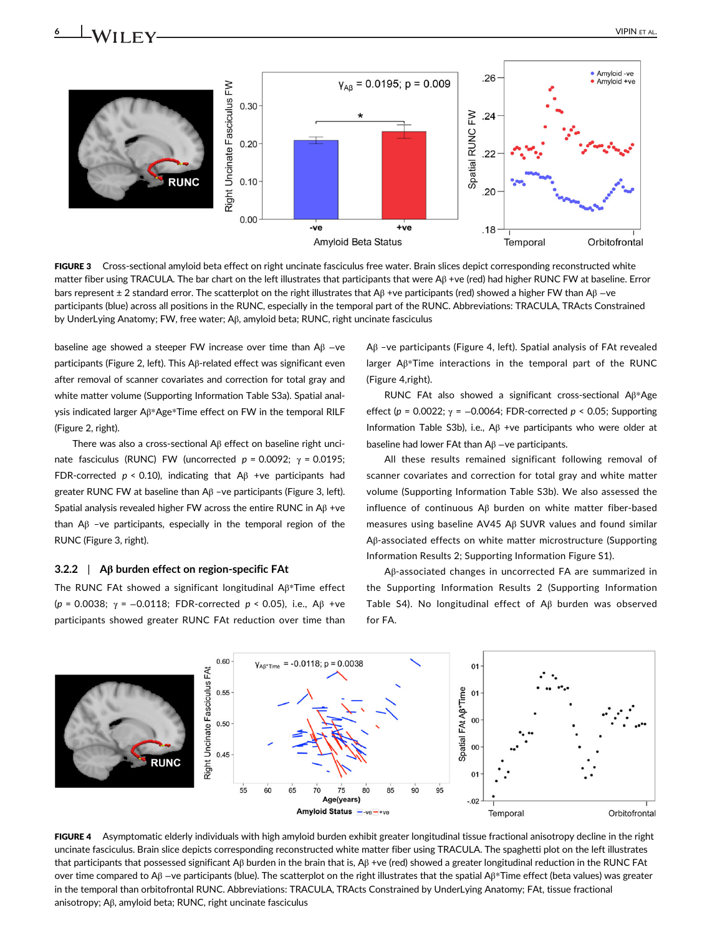

FIGURE 3 Cross-sectional amyloid beta effect on right uncinate fasciculus free water. Brain slices depict corresponding reconstructed white matter fiber using TRACULA. The bar chart on the left illustrates that participants that were Aβ +ve (red) had higher RUNC FW at baseline. Error bars represent ± 2 standard error. The scatterplot on the right illustrates that Aβ +ve participants (red) showed a higher FW than Aβ −ve participants (blue) across all positions in the RUNC, especially in the temporal part of the RUNC. Abbreviations: TRACULA, TRActs Constrained by UnderLying Anatomy; FW, free water; Aβ, amyloid beta; RUNC, right uncinate fasciculus

baseline age showed a steeper FW increase over time than  $Aβ$  –ve participants (Figure 2, left). This Aβ-related effect was significant even after removal of scanner covariates and correction for total gray and white matter volume (Supporting Information Table S3a). Spatial analysis indicated larger Aβ\*Age\*Time effect on FW in the temporal RILF (Figure 2, right).

There was also a cross-sectional Aβ effect on baseline right uncinate fasciculus (RUNC) FW (uncorrected  $p = 0.0092$ ; γ = 0.0195; FDR-corrected  $p < 0.10$ ), indicating that A $\beta$  +ve participants had greater RUNC FW at baseline than Aβ –ve participants (Figure 3, left). Spatial analysis revealed higher FW across the entire RUNC in Aβ +ve than Aβ –ve participants, especially in the temporal region of the RUNC (Figure 3, right).

#### 3.2.2 | Aβ burden effect on region-specific FAt

The RUNC FAt showed a significant longitudinal Aβ\*Time effect (p = 0.0038;  $\gamma$  = -0.0118; FDR-corrected p < 0.05), i.e., A $\beta$  +ve participants showed greater RUNC FAt reduction over time than

Aβ –ve participants (Figure 4, left). Spatial analysis of FAt revealed larger Aβ\*Time interactions in the temporal part of the RUNC (Figure 4,right).

RUNC FAt also showed a significant cross-sectional Aβ\*Age effect (p = 0.0022;  $\gamma$  = -0.0064; FDR-corrected p < 0.05; Supporting Information Table S3b), i.e., Aβ +ve participants who were older at baseline had lower FAt than Aβ –ve participants.

All these results remained significant following removal of scanner covariates and correction for total gray and white matter volume (Supporting Information Table S3b). We also assessed the influence of continuous Aβ burden on white matter fiber-based measures using baseline AV45 Aβ SUVR values and found similar Aβ-associated effects on white matter microstructure (Supporting Information Results 2; Supporting Information Figure S1).

Aβ-associated changes in uncorrected FA are summarized in the Supporting Information Results 2 (Supporting Information Table S4). No longitudinal effect of Aβ burden was observed for FA.



FIGURE 4 Asymptomatic elderly individuals with high amyloid burden exhibit greater longitudinal tissue fractional anisotropy decline in the right uncinate fasciculus. Brain slice depicts corresponding reconstructed white matter fiber using TRACULA. The spaghetti plot on the left illustrates that participants that possessed significant Aβ burden in the brain that is, Aβ +ve (red) showed a greater longitudinal reduction in the RUNC FAt over time compared to Aβ −ve participants (blue). The scatterplot on the right illustrates that the spatial Aβ\*Time effect (beta values) was greater in the temporal than orbitofrontal RUNC. Abbreviations: TRACULA, TRActs Constrained by UnderLying Anatomy; FAt, tissue fractional anisotropy; Aβ, amyloid beta; RUNC, right uncinate fasciculus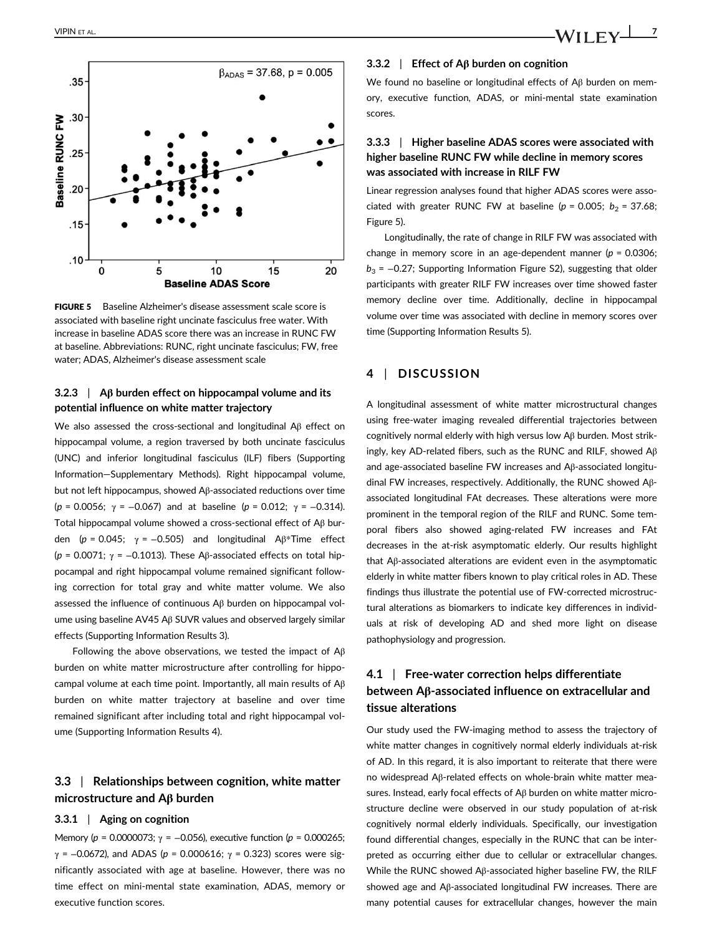

FIGURE 5 Baseline Alzheimer's disease assessment scale score is associated with baseline right uncinate fasciculus free water. With increase in baseline ADAS score there was an increase in RUNC FW at baseline. Abbreviations: RUNC, right uncinate fasciculus; FW, free water; ADAS, Alzheimer's disease assessment scale

## 3.2.3  $\parallel$  A $\beta$  burden effect on hippocampal volume and its potential influence on white matter trajectory

We also assessed the cross-sectional and longitudinal Aβ effect on hippocampal volume, a region traversed by both uncinate fasciculus (UNC) and inferior longitudinal fasciculus (ILF) fibers (Supporting Information—Supplementary Methods). Right hippocampal volume, but not left hippocampus, showed Aβ-associated reductions over time (p = 0.0056;  $\gamma$  = -0.067) and at baseline (p = 0.012;  $\gamma$  = -0.314). Total hippocampal volume showed a cross-sectional effect of Aβ burden (p = 0.045;  $\gamma$  = -0.505) and longitudinal A $\beta$ \*Time effect (p = 0.0071;  $\gamma$  = -0.1013). These A $\beta$ -associated effects on total hippocampal and right hippocampal volume remained significant following correction for total gray and white matter volume. We also assessed the influence of continuous Aβ burden on hippocampal volume using baseline AV45 Aβ SUVR values and observed largely similar effects (Supporting Information Results 3).

Following the above observations, we tested the impact of Aβ burden on white matter microstructure after controlling for hippocampal volume at each time point. Importantly, all main results of Aβ burden on white matter trajectory at baseline and over time remained significant after including total and right hippocampal volume (Supporting Information Results 4).

## 3.3 | Relationships between cognition, white matter microstructure and Aβ burden

## 3.3.1 | Aging on cognition

Memory ( $p = 0.0000073$ ;  $γ = -0.056$ ), executive function ( $p = 0.000265$ ;  $γ = -0.0672$ ), and ADAS ( $p = 0.000616$ ;  $γ = 0.323$ ) scores were significantly associated with age at baseline. However, there was no time effect on mini-mental state examination, ADAS, memory or executive function scores.

#### 3.3.2 | Effect of Aβ burden on cognition

We found no baseline or longitudinal effects of Aβ burden on memory, executive function, ADAS, or mini-mental state examination scores.

## 3.3.3 | Higher baseline ADAS scores were associated with higher baseline RUNC FW while decline in memory scores was associated with increase in RILF FW

Linear regression analyses found that higher ADAS scores were associated with greater RUNC FW at baseline ( $p = 0.005$ ;  $b_2 = 37.68$ ; Figure 5).

Longitudinally, the rate of change in RILF FW was associated with change in memory score in an age-dependent manner  $(p = 0.0306$ ;  $b_3$  = -0.27; Supporting Information Figure S2), suggesting that older participants with greater RILF FW increases over time showed faster memory decline over time. Additionally, decline in hippocampal volume over time was associated with decline in memory scores over time (Supporting Information Results 5).

## 4 | DISCUSSION

A longitudinal assessment of white matter microstructural changes using free-water imaging revealed differential trajectories between cognitively normal elderly with high versus low Aβ burden. Most strikingly, key AD-related fibers, such as the RUNC and RILF, showed Aβ and age-associated baseline FW increases and Aβ-associated longitudinal FW increases, respectively. Additionally, the RUNC showed Aβassociated longitudinal FAt decreases. These alterations were more prominent in the temporal region of the RILF and RUNC. Some temporal fibers also showed aging-related FW increases and FAt decreases in the at-risk asymptomatic elderly. Our results highlight that Aβ-associated alterations are evident even in the asymptomatic elderly in white matter fibers known to play critical roles in AD. These findings thus illustrate the potential use of FW-corrected microstructural alterations as biomarkers to indicate key differences in individuals at risk of developing AD and shed more light on disease pathophysiology and progression.

# 4.1 | Free-water correction helps differentiate between Aβ-associated influence on extracellular and tissue alterations

Our study used the FW-imaging method to assess the trajectory of white matter changes in cognitively normal elderly individuals at-risk of AD. In this regard, it is also important to reiterate that there were no widespread Aβ-related effects on whole-brain white matter measures. Instead, early focal effects of Aβ burden on white matter microstructure decline were observed in our study population of at-risk cognitively normal elderly individuals. Specifically, our investigation found differential changes, especially in the RUNC that can be interpreted as occurring either due to cellular or extracellular changes. While the RUNC showed Aβ-associated higher baseline FW, the RILF showed age and Aβ-associated longitudinal FW increases. There are many potential causes for extracellular changes, however the main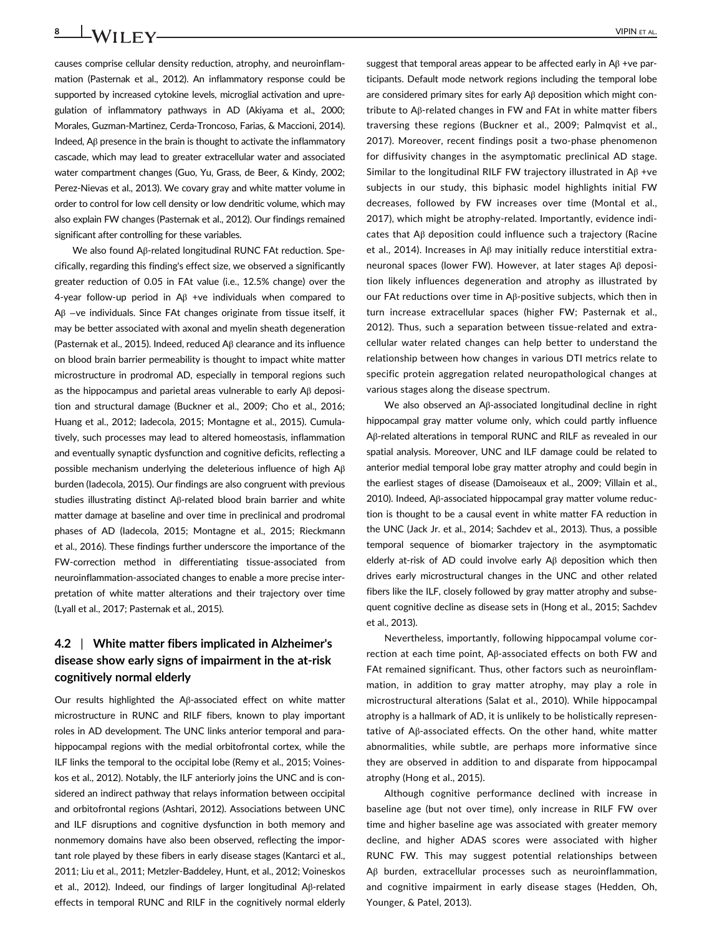causes comprise cellular density reduction, atrophy, and neuroinflammation (Pasternak et al., 2012). An inflammatory response could be supported by increased cytokine levels, microglial activation and upregulation of inflammatory pathways in AD (Akiyama et al., 2000; Morales, Guzman-Martinez, Cerda-Troncoso, Farias, & Maccioni, 2014). Indeed, Aβ presence in the brain is thought to activate the inflammatory cascade, which may lead to greater extracellular water and associated water compartment changes (Guo, Yu, Grass, de Beer, & Kindy, 2002; Perez-Nievas et al., 2013). We covary gray and white matter volume in order to control for low cell density or low dendritic volume, which may also explain FW changes (Pasternak et al., 2012). Our findings remained significant after controlling for these variables.

We also found Aβ-related longitudinal RUNC FAt reduction. Specifically, regarding this finding's effect size, we observed a significantly greater reduction of 0.05 in FAt value (i.e., 12.5% change) over the 4-year follow-up period in Aβ +ve individuals when compared to Aβ −ve individuals. Since FAt changes originate from tissue itself, it may be better associated with axonal and myelin sheath degeneration (Pasternak et al., 2015). Indeed, reduced Aβ clearance and its influence on blood brain barrier permeability is thought to impact white matter microstructure in prodromal AD, especially in temporal regions such as the hippocampus and parietal areas vulnerable to early Aβ deposition and structural damage (Buckner et al., 2009; Cho et al., 2016; Huang et al., 2012; Iadecola, 2015; Montagne et al., 2015). Cumulatively, such processes may lead to altered homeostasis, inflammation and eventually synaptic dysfunction and cognitive deficits, reflecting a possible mechanism underlying the deleterious influence of high Aβ burden (Iadecola, 2015). Our findings are also congruent with previous studies illustrating distinct Aβ-related blood brain barrier and white matter damage at baseline and over time in preclinical and prodromal phases of AD (Iadecola, 2015; Montagne et al., 2015; Rieckmann et al., 2016). These findings further underscore the importance of the FW-correction method in differentiating tissue-associated from neuroinflammation-associated changes to enable a more precise interpretation of white matter alterations and their trajectory over time (Lyall et al., 2017; Pasternak et al., 2015).

# 4.2 | White matter fibers implicated in Alzheimer's disease show early signs of impairment in the at-risk cognitively normal elderly

Our results highlighted the Aβ-associated effect on white matter microstructure in RUNC and RILF fibers, known to play important roles in AD development. The UNC links anterior temporal and parahippocampal regions with the medial orbitofrontal cortex, while the ILF links the temporal to the occipital lobe (Remy et al., 2015; Voineskos et al., 2012). Notably, the ILF anteriorly joins the UNC and is considered an indirect pathway that relays information between occipital and orbitofrontal regions (Ashtari, 2012). Associations between UNC and ILF disruptions and cognitive dysfunction in both memory and nonmemory domains have also been observed, reflecting the important role played by these fibers in early disease stages (Kantarci et al., 2011; Liu et al., 2011; Metzler-Baddeley, Hunt, et al., 2012; Voineskos et al., 2012). Indeed, our findings of larger longitudinal Aβ-related effects in temporal RUNC and RILF in the cognitively normal elderly suggest that temporal areas appear to be affected early in Aβ +ve participants. Default mode network regions including the temporal lobe are considered primary sites for early Aβ deposition which might contribute to Aβ-related changes in FW and FAt in white matter fibers traversing these regions (Buckner et al., 2009; Palmqvist et al., 2017). Moreover, recent findings posit a two-phase phenomenon for diffusivity changes in the asymptomatic preclinical AD stage. Similar to the longitudinal RILF FW trajectory illustrated in Aβ +ve subjects in our study, this biphasic model highlights initial FW decreases, followed by FW increases over time (Montal et al., 2017), which might be atrophy-related. Importantly, evidence indicates that Aβ deposition could influence such a trajectory (Racine et al., 2014). Increases in Aβ may initially reduce interstitial extraneuronal spaces (lower FW). However, at later stages Aβ deposition likely influences degeneration and atrophy as illustrated by our FAt reductions over time in Aβ-positive subjects, which then in turn increase extracellular spaces (higher FW; Pasternak et al., 2012). Thus, such a separation between tissue-related and extracellular water related changes can help better to understand the relationship between how changes in various DTI metrics relate to specific protein aggregation related neuropathological changes at various stages along the disease spectrum.

We also observed an Aβ-associated longitudinal decline in right hippocampal gray matter volume only, which could partly influence Aβ-related alterations in temporal RUNC and RILF as revealed in our spatial analysis. Moreover, UNC and ILF damage could be related to anterior medial temporal lobe gray matter atrophy and could begin in the earliest stages of disease (Damoiseaux et al., 2009; Villain et al., 2010). Indeed, Aβ-associated hippocampal gray matter volume reduction is thought to be a causal event in white matter FA reduction in the UNC (Jack Jr. et al., 2014; Sachdev et al., 2013). Thus, a possible temporal sequence of biomarker trajectory in the asymptomatic elderly at-risk of AD could involve early Aβ deposition which then drives early microstructural changes in the UNC and other related fibers like the ILF, closely followed by gray matter atrophy and subsequent cognitive decline as disease sets in (Hong et al., 2015; Sachdev et al., 2013).

Nevertheless, importantly, following hippocampal volume correction at each time point, Aβ-associated effects on both FW and FAt remained significant. Thus, other factors such as neuroinflammation, in addition to gray matter atrophy, may play a role in microstructural alterations (Salat et al., 2010). While hippocampal atrophy is a hallmark of AD, it is unlikely to be holistically representative of Aβ-associated effects. On the other hand, white matter abnormalities, while subtle, are perhaps more informative since they are observed in addition to and disparate from hippocampal atrophy (Hong et al., 2015).

Although cognitive performance declined with increase in baseline age (but not over time), only increase in RILF FW over time and higher baseline age was associated with greater memory decline, and higher ADAS scores were associated with higher RUNC FW. This may suggest potential relationships between Aβ burden, extracellular processes such as neuroinflammation, and cognitive impairment in early disease stages (Hedden, Oh, Younger, & Patel, 2013).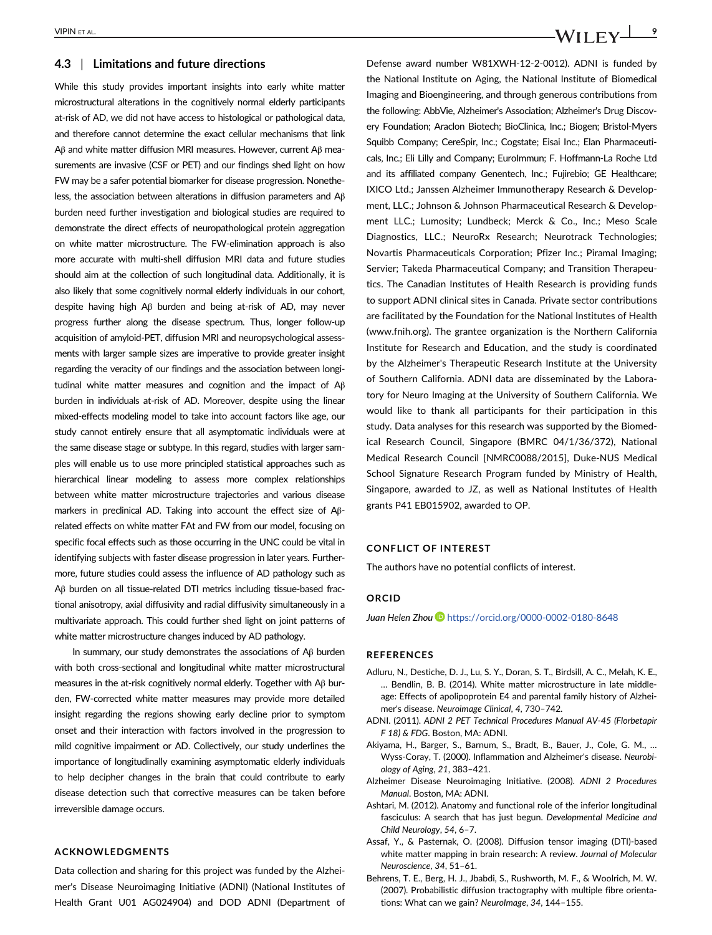### 4.3 | Limitations and future directions

While this study provides important insights into early white matter microstructural alterations in the cognitively normal elderly participants at-risk of AD, we did not have access to histological or pathological data, and therefore cannot determine the exact cellular mechanisms that link Aβ and white matter diffusion MRI measures. However, current Aβ measurements are invasive (CSF or PET) and our findings shed light on how FW may be a safer potential biomarker for disease progression. Nonetheless, the association between alterations in diffusion parameters and Aβ burden need further investigation and biological studies are required to demonstrate the direct effects of neuropathological protein aggregation on white matter microstructure. The FW-elimination approach is also more accurate with multi-shell diffusion MRI data and future studies should aim at the collection of such longitudinal data. Additionally, it is also likely that some cognitively normal elderly individuals in our cohort, despite having high Aβ burden and being at-risk of AD, may never progress further along the disease spectrum. Thus, longer follow-up acquisition of amyloid-PET, diffusion MRI and neuropsychological assessments with larger sample sizes are imperative to provide greater insight regarding the veracity of our findings and the association between longitudinal white matter measures and cognition and the impact of Aβ burden in individuals at-risk of AD. Moreover, despite using the linear mixed-effects modeling model to take into account factors like age, our study cannot entirely ensure that all asymptomatic individuals were at the same disease stage or subtype. In this regard, studies with larger samples will enable us to use more principled statistical approaches such as hierarchical linear modeling to assess more complex relationships between white matter microstructure trajectories and various disease markers in preclinical AD. Taking into account the effect size of Aβrelated effects on white matter FAt and FW from our model, focusing on specific focal effects such as those occurring in the UNC could be vital in identifying subjects with faster disease progression in later years. Furthermore, future studies could assess the influence of AD pathology such as Aβ burden on all tissue-related DTI metrics including tissue-based fractional anisotropy, axial diffusivity and radial diffusivity simultaneously in a multivariate approach. This could further shed light on joint patterns of white matter microstructure changes induced by AD pathology.

In summary, our study demonstrates the associations of Aβ burden with both cross-sectional and longitudinal white matter microstructural measures in the at-risk cognitively normal elderly. Together with Aβ burden, FW-corrected white matter measures may provide more detailed insight regarding the regions showing early decline prior to symptom onset and their interaction with factors involved in the progression to mild cognitive impairment or AD. Collectively, our study underlines the importance of longitudinally examining asymptomatic elderly individuals to help decipher changes in the brain that could contribute to early disease detection such that corrective measures can be taken before irreversible damage occurs.

## ACKNOWLEDGMENTS

Data collection and sharing for this project was funded by the Alzheimer's Disease Neuroimaging Initiative (ADNI) (National Institutes of Health Grant U01 AG024904) and DOD ADNI (Department of

Defense award number W81XWH-12-2-0012). ADNI is funded by the National Institute on Aging, the National Institute of Biomedical Imaging and Bioengineering, and through generous contributions from the following: AbbVie, Alzheimer's Association; Alzheimer's Drug Discovery Foundation; Araclon Biotech; BioClinica, Inc.; Biogen; Bristol-Myers Squibb Company; CereSpir, Inc.; Cogstate; Eisai Inc.; Elan Pharmaceuticals, Inc.; Eli Lilly and Company; EuroImmun; F. Hoffmann-La Roche Ltd and its affiliated company Genentech, Inc.; Fujirebio; GE Healthcare; IXICO Ltd.; Janssen Alzheimer Immunotherapy Research & Development, LLC.; Johnson & Johnson Pharmaceutical Research & Development LLC.; Lumosity; Lundbeck; Merck & Co., Inc.; Meso Scale Diagnostics, LLC.; NeuroRx Research; Neurotrack Technologies; Novartis Pharmaceuticals Corporation; Pfizer Inc.; Piramal Imaging; Servier; Takeda Pharmaceutical Company; and Transition Therapeutics. The Canadian Institutes of Health Research is providing funds to support ADNI clinical sites in Canada. Private sector contributions are facilitated by the Foundation for the National Institutes of Health ([www.fnih.org\)](http://www.fnih.org). The grantee organization is the Northern California Institute for Research and Education, and the study is coordinated by the Alzheimer's Therapeutic Research Institute at the University of Southern California. ADNI data are disseminated by the Laboratory for Neuro Imaging at the University of Southern California. We would like to thank all participants for their participation in this study. Data analyses for this research was supported by the Biomedical Research Council, Singapore (BMRC 04/1/36/372), National Medical Research Council [NMRC0088/2015], Duke-NUS Medical School Signature Research Program funded by Ministry of Health, Singapore, awarded to JZ, as well as National Institutes of Health grants P41 EB015902, awarded to OP.

#### CONFLICT OF INTEREST

The authors have no potential conflicts of interest.

## ORCID

Juan Helen Zhou D <https://orcid.org/0000-0002-0180-8648>

#### REFERENCES

- Adluru, N., Destiche, D. J., Lu, S. Y., Doran, S. T., Birdsill, A. C., Melah, K. E., … Bendlin, B. B. (2014). White matter microstructure in late middleage: Effects of apolipoprotein E4 and parental family history of Alzheimer's disease. Neuroimage Clinical, 4, 730–742.
- ADNI. (2011). ADNI 2 PET Technical Procedures Manual AV-45 (Florbetapir F 18) & FDG. Boston, MA: ADNI.
- Akiyama, H., Barger, S., Barnum, S., Bradt, B., Bauer, J., Cole, G. M., … Wyss-Coray, T. (2000). Inflammation and Alzheimer's disease. Neurobiology of Aging, 21, 383–421.
- Alzheimer Disease Neuroimaging Initiative. (2008). ADNI 2 Procedures Manual. Boston, MA: ADNI.
- Ashtari, M. (2012). Anatomy and functional role of the inferior longitudinal fasciculus: A search that has just begun. Developmental Medicine and Child Neurology, 54, 6–7.
- Assaf, Y., & Pasternak, O. (2008). Diffusion tensor imaging (DTI)-based white matter mapping in brain research: A review. Journal of Molecular Neuroscience, 34, 51–61.
- Behrens, T. E., Berg, H. J., Jbabdi, S., Rushworth, M. F., & Woolrich, M. W. (2007). Probabilistic diffusion tractography with multiple fibre orientations: What can we gain? NeuroImage, 34, 144-155.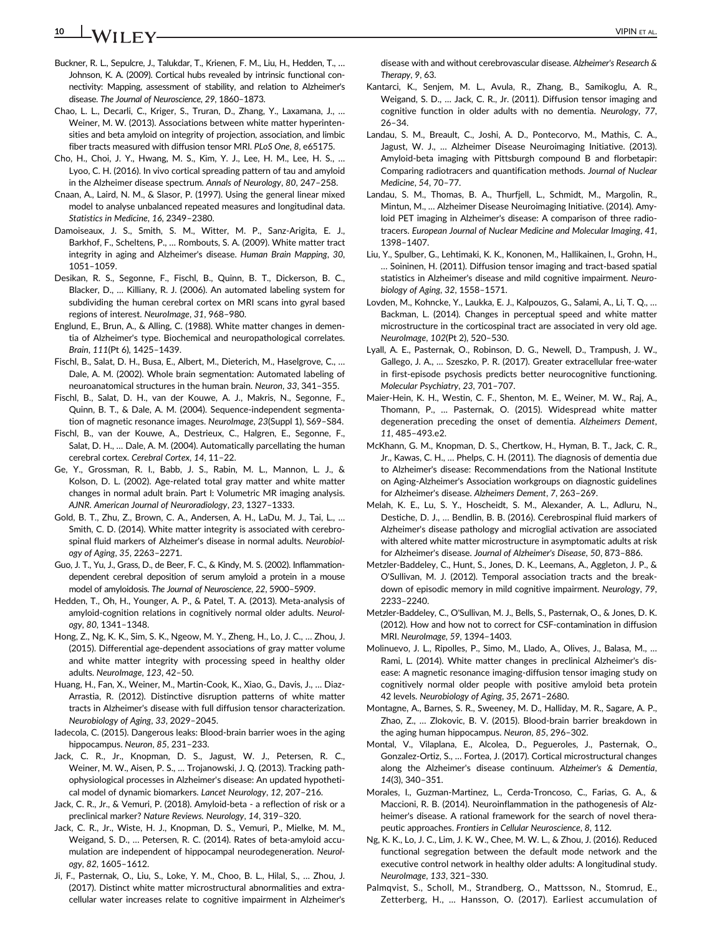# $10$  **VIPIN ET AL. VIPIN ET AL.**

- Buckner, R. L., Sepulcre, J., Talukdar, T., Krienen, F. M., Liu, H., Hedden, T., … Johnson, K. A. (2009). Cortical hubs revealed by intrinsic functional connectivity: Mapping, assessment of stability, and relation to Alzheimer's disease. The Journal of Neuroscience, 29, 1860–1873.
- Chao, L. L., Decarli, C., Kriger, S., Truran, D., Zhang, Y., Laxamana, J., … Weiner, M. W. (2013). Associations between white matter hyperintensities and beta amyloid on integrity of projection, association, and limbic fiber tracts measured with diffusion tensor MRI. PLoS One, 8, e65175.
- Cho, H., Choi, J. Y., Hwang, M. S., Kim, Y. J., Lee, H. M., Lee, H. S., … Lyoo, C. H. (2016). In vivo cortical spreading pattern of tau and amyloid in the Alzheimer disease spectrum. Annals of Neurology, 80, 247–258.
- Cnaan, A., Laird, N. M., & Slasor, P. (1997). Using the general linear mixed model to analyse unbalanced repeated measures and longitudinal data. Statistics in Medicine, 16, 2349–2380.
- Damoiseaux, J. S., Smith, S. M., Witter, M. P., Sanz-Arigita, E. J., Barkhof, F., Scheltens, P., … Rombouts, S. A. (2009). White matter tract integrity in aging and Alzheimer's disease. Human Brain Mapping, 30, 1051–1059.
- Desikan, R. S., Segonne, F., Fischl, B., Quinn, B. T., Dickerson, B. C., Blacker, D., … Killiany, R. J. (2006). An automated labeling system for subdividing the human cerebral cortex on MRI scans into gyral based regions of interest. NeuroImage, 31, 968–980.
- Englund, E., Brun, A., & Alling, C. (1988). White matter changes in dementia of Alzheimer's type. Biochemical and neuropathological correlates. Brain, 111(Pt 6), 1425–1439.
- Fischl, B., Salat, D. H., Busa, E., Albert, M., Dieterich, M., Haselgrove, C., … Dale, A. M. (2002). Whole brain segmentation: Automated labeling of neuroanatomical structures in the human brain. Neuron, 33, 341–355.
- Fischl, B., Salat, D. H., van der Kouwe, A. J., Makris, N., Segonne, F., Quinn, B. T., & Dale, A. M. (2004). Sequence-independent segmentation of magnetic resonance images. NeuroImage, 23(Suppl 1), S69–S84.
- Fischl, B., van der Kouwe, A., Destrieux, C., Halgren, E., Segonne, F., Salat, D. H., … Dale, A. M. (2004). Automatically parcellating the human cerebral cortex. Cerebral Cortex, 14, 11–22.
- Ge, Y., Grossman, R. I., Babb, J. S., Rabin, M. L., Mannon, L. J., & Kolson, D. L. (2002). Age-related total gray matter and white matter changes in normal adult brain. Part I: Volumetric MR imaging analysis. AJNR. American Journal of Neuroradiology, 23, 1327–1333.
- Gold, B. T., Zhu, Z., Brown, C. A., Andersen, A. H., LaDu, M. J., Tai, L., … Smith, C. D. (2014). White matter integrity is associated with cerebrospinal fluid markers of Alzheimer's disease in normal adults. Neurobiology of Aging, 35, 2263–2271.
- Guo, J. T., Yu, J., Grass, D., de Beer, F. C., & Kindy, M. S. (2002). Inflammationdependent cerebral deposition of serum amyloid a protein in a mouse model of amyloidosis. The Journal of Neuroscience, 22, 5900–5909.
- Hedden, T., Oh, H., Younger, A. P., & Patel, T. A. (2013). Meta-analysis of amyloid-cognition relations in cognitively normal older adults. Neurology, 80, 1341–1348.
- Hong, Z., Ng, K. K., Sim, S. K., Ngeow, M. Y., Zheng, H., Lo, J. C., … Zhou, J. (2015). Differential age-dependent associations of gray matter volume and white matter integrity with processing speed in healthy older adults. NeuroImage, 123, 42–50.
- Huang, H., Fan, X., Weiner, M., Martin-Cook, K., Xiao, G., Davis, J., … Diaz-Arrastia, R. (2012). Distinctive disruption patterns of white matter tracts in Alzheimer's disease with full diffusion tensor characterization. Neurobiology of Aging, 33, 2029–2045.
- Iadecola, C. (2015). Dangerous leaks: Blood-brain barrier woes in the aging hippocampus. Neuron, 85, 231–233.
- Jack, C. R., Jr., Knopman, D. S., Jagust, W. J., Petersen, R. C., Weiner, M. W., Aisen, P. S., … Trojanowski, J. Q. (2013). Tracking pathophysiological processes in Alzheimer's disease: An updated hypothetical model of dynamic biomarkers. Lancet Neurology, 12, 207–216.
- Jack, C. R., Jr., & Vemuri, P. (2018). Amyloid-beta a reflection of risk or a preclinical marker? Nature Reviews. Neurology, 14, 319–320.
- Jack, C. R., Jr., Wiste, H. J., Knopman, D. S., Vemuri, P., Mielke, M. M., Weigand, S. D., … Petersen, R. C. (2014). Rates of beta-amyloid accumulation are independent of hippocampal neurodegeneration. Neurology, 82, 1605–1612.
- Ji, F., Pasternak, O., Liu, S., Loke, Y. M., Choo, B. L., Hilal, S., … Zhou, J. (2017). Distinct white matter microstructural abnormalities and extracellular water increases relate to cognitive impairment in Alzheimer's

disease with and without cerebrovascular disease. Alzheimer's Research & Therapy, 9, 63.

- Kantarci, K., Senjem, M. L., Avula, R., Zhang, B., Samikoglu, A. R., Weigand, S. D., … Jack, C. R., Jr. (2011). Diffusion tensor imaging and cognitive function in older adults with no dementia. Neurology, 77, 26–34.
- Landau, S. M., Breault, C., Joshi, A. D., Pontecorvo, M., Mathis, C. A., Jagust, W. J., … Alzheimer Disease Neuroimaging Initiative. (2013). Amyloid-beta imaging with Pittsburgh compound B and florbetapir: Comparing radiotracers and quantification methods. Journal of Nuclear Medicine, 54, 70–77.
- Landau, S. M., Thomas, B. A., Thurfjell, L., Schmidt, M., Margolin, R., Mintun, M., … Alzheimer Disease Neuroimaging Initiative. (2014). Amyloid PET imaging in Alzheimer's disease: A comparison of three radiotracers. European Journal of Nuclear Medicine and Molecular Imaging, 41, 1398–1407.
- Liu, Y., Spulber, G., Lehtimaki, K. K., Kononen, M., Hallikainen, I., Grohn, H., … Soininen, H. (2011). Diffusion tensor imaging and tract-based spatial statistics in Alzheimer's disease and mild cognitive impairment. Neurobiology of Aging, 32, 1558–1571.
- Lovden, M., Kohncke, Y., Laukka, E. J., Kalpouzos, G., Salami, A., Li, T. Q., … Backman, L. (2014). Changes in perceptual speed and white matter microstructure in the corticospinal tract are associated in very old age. NeuroImage, 102(Pt 2), 520–530.
- Lyall, A. E., Pasternak, O., Robinson, D. G., Newell, D., Trampush, J. W., Gallego, J. A., … Szeszko, P. R. (2017). Greater extracellular free-water in first-episode psychosis predicts better neurocognitive functioning. Molecular Psychiatry, 23, 701–707.
- Maier-Hein, K. H., Westin, C. F., Shenton, M. E., Weiner, M. W., Raj, A., Thomann, P., … Pasternak, O. (2015). Widespread white matter degeneration preceding the onset of dementia. Alzheimers Dement, 11, 485–493.e2.
- McKhann, G. M., Knopman, D. S., Chertkow, H., Hyman, B. T., Jack, C. R., Jr., Kawas, C. H., … Phelps, C. H. (2011). The diagnosis of dementia due to Alzheimer's disease: Recommendations from the National Institute on Aging-Alzheimer's Association workgroups on diagnostic guidelines for Alzheimer's disease. Alzheimers Dement, 7, 263–269.
- Melah, K. E., Lu, S. Y., Hoscheidt, S. M., Alexander, A. L., Adluru, N., Destiche, D. J., … Bendlin, B. B. (2016). Cerebrospinal fluid markers of Alzheimer's disease pathology and microglial activation are associated with altered white matter microstructure in asymptomatic adults at risk for Alzheimer's disease. Journal of Alzheimer's Disease, 50, 873–886.
- Metzler-Baddeley, C., Hunt, S., Jones, D. K., Leemans, A., Aggleton, J. P., & O'Sullivan, M. J. (2012). Temporal association tracts and the breakdown of episodic memory in mild cognitive impairment. Neurology, 79, 2233–2240.
- Metzler-Baddeley, C., O'Sullivan, M. J., Bells, S., Pasternak, O., & Jones, D. K. (2012). How and how not to correct for CSF-contamination in diffusion MRI. NeuroImage, 59, 1394–1403.
- Molinuevo, J. L., Ripolles, P., Simo, M., Llado, A., Olives, J., Balasa, M., … Rami, L. (2014). White matter changes in preclinical Alzheimer's disease: A magnetic resonance imaging-diffusion tensor imaging study on cognitively normal older people with positive amyloid beta protein 42 levels. Neurobiology of Aging, 35, 2671–2680.
- Montagne, A., Barnes, S. R., Sweeney, M. D., Halliday, M. R., Sagare, A. P., Zhao, Z., … Zlokovic, B. V. (2015). Blood-brain barrier breakdown in the aging human hippocampus. Neuron, 85, 296–302.
- Montal, V., Vilaplana, E., Alcolea, D., Pegueroles, J., Pasternak, O., Gonzalez-Ortiz, S., … Fortea, J. (2017). Cortical microstructural changes along the Alzheimer's disease continuum. Alzheimer's & Dementia, 14(3), 340–351.
- Morales, I., Guzman-Martinez, L., Cerda-Troncoso, C., Farias, G. A., & Maccioni, R. B. (2014). Neuroinflammation in the pathogenesis of Alzheimer's disease. A rational framework for the search of novel therapeutic approaches. Frontiers in Cellular Neuroscience, 8, 112.
- Ng, K. K., Lo, J. C., Lim, J. K. W., Chee, M. W. L., & Zhou, J. (2016). Reduced functional segregation between the default mode network and the executive control network in healthy older adults: A longitudinal study. NeuroImage, 133, 321–330.
- Palmqvist, S., Scholl, M., Strandberg, O., Mattsson, N., Stomrud, E., Zetterberg, H., … Hansson, O. (2017). Earliest accumulation of